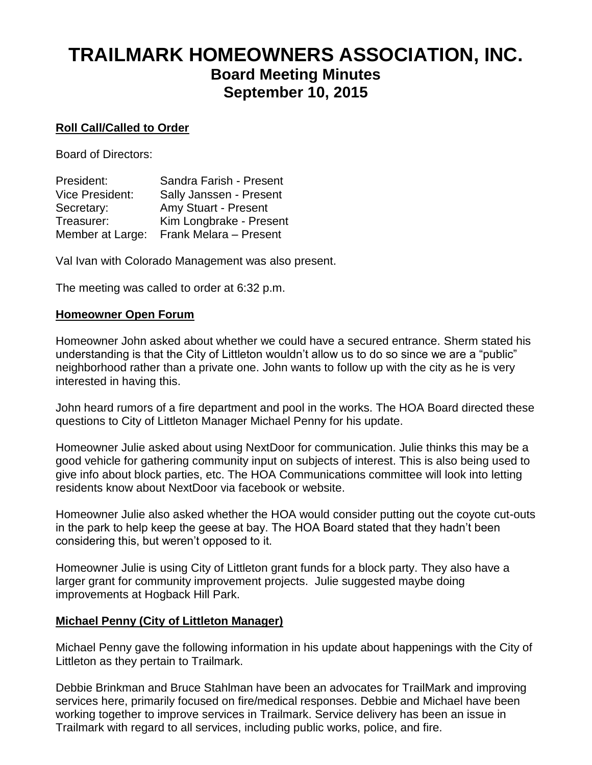# **TRAILMARK HOMEOWNERS ASSOCIATION, INC. Board Meeting Minutes September 10, 2015**

# **Roll Call/Called to Order**

Board of Directors:

| President:             | Sandra Farish - Present |
|------------------------|-------------------------|
| <b>Vice President:</b> | Sally Janssen - Present |
| Secretary:             | Amy Stuart - Present    |
| Treasurer:             | Kim Longbrake - Present |
| Member at Large:       | Frank Melara - Present  |

Val Ivan with Colorado Management was also present.

The meeting was called to order at 6:32 p.m.

# **Homeowner Open Forum**

Homeowner John asked about whether we could have a secured entrance. Sherm stated his understanding is that the City of Littleton wouldn't allow us to do so since we are a "public" neighborhood rather than a private one. John wants to follow up with the city as he is very interested in having this.

John heard rumors of a fire department and pool in the works. The HOA Board directed these questions to City of Littleton Manager Michael Penny for his update.

Homeowner Julie asked about using NextDoor for communication. Julie thinks this may be a good vehicle for gathering community input on subjects of interest. This is also being used to give info about block parties, etc. The HOA Communications committee will look into letting residents know about NextDoor via facebook or website.

Homeowner Julie also asked whether the HOA would consider putting out the coyote cut-outs in the park to help keep the geese at bay. The HOA Board stated that they hadn't been considering this, but weren't opposed to it.

Homeowner Julie is using City of Littleton grant funds for a block party. They also have a larger grant for community improvement projects. Julie suggested maybe doing improvements at Hogback Hill Park.

# **Michael Penny (City of Littleton Manager)**

Michael Penny gave the following information in his update about happenings with the City of Littleton as they pertain to Trailmark.

Debbie Brinkman and Bruce Stahlman have been an advocates for TrailMark and improving services here, primarily focused on fire/medical responses. Debbie and Michael have been working together to improve services in Trailmark. Service delivery has been an issue in Trailmark with regard to all services, including public works, police, and fire.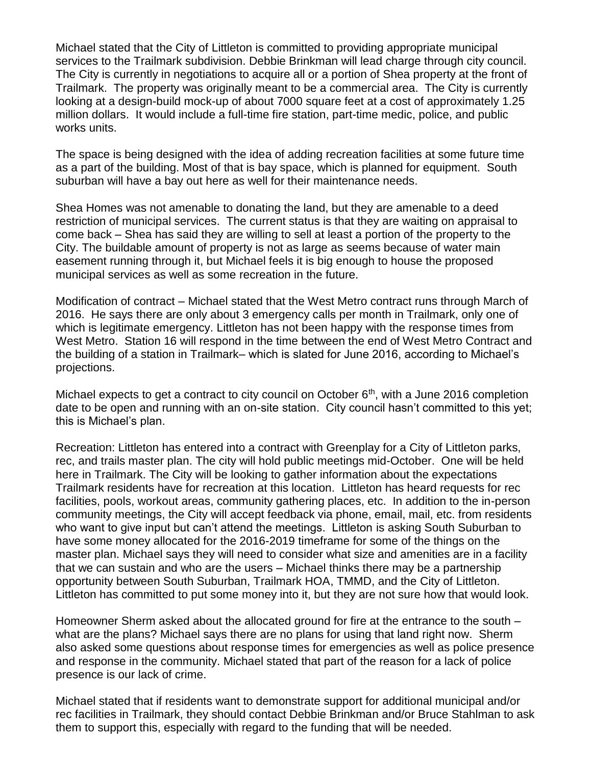Michael stated that the City of Littleton is committed to providing appropriate municipal services to the Trailmark subdivision. Debbie Brinkman will lead charge through city council. The City is currently in negotiations to acquire all or a portion of Shea property at the front of Trailmark. The property was originally meant to be a commercial area. The City is currently looking at a design-build mock-up of about 7000 square feet at a cost of approximately 1.25 million dollars. It would include a full-time fire station, part-time medic, police, and public works units.

The space is being designed with the idea of adding recreation facilities at some future time as a part of the building. Most of that is bay space, which is planned for equipment. South suburban will have a bay out here as well for their maintenance needs.

Shea Homes was not amenable to donating the land, but they are amenable to a deed restriction of municipal services. The current status is that they are waiting on appraisal to come back – Shea has said they are willing to sell at least a portion of the property to the City. The buildable amount of property is not as large as seems because of water main easement running through it, but Michael feels it is big enough to house the proposed municipal services as well as some recreation in the future.

Modification of contract – Michael stated that the West Metro contract runs through March of 2016. He says there are only about 3 emergency calls per month in Trailmark, only one of which is legitimate emergency. Littleton has not been happy with the response times from West Metro. Station 16 will respond in the time between the end of West Metro Contract and the building of a station in Trailmark– which is slated for June 2016, according to Michael's projections.

Michael expects to get a contract to city council on October  $6<sup>th</sup>$ , with a June 2016 completion date to be open and running with an on-site station. City council hasn't committed to this yet; this is Michael's plan.

Recreation: Littleton has entered into a contract with Greenplay for a City of Littleton parks, rec, and trails master plan. The city will hold public meetings mid-October. One will be held here in Trailmark. The City will be looking to gather information about the expectations Trailmark residents have for recreation at this location. Littleton has heard requests for rec facilities, pools, workout areas, community gathering places, etc. In addition to the in-person community meetings, the City will accept feedback via phone, email, mail, etc. from residents who want to give input but can't attend the meetings. Littleton is asking South Suburban to have some money allocated for the 2016-2019 timeframe for some of the things on the master plan. Michael says they will need to consider what size and amenities are in a facility that we can sustain and who are the users – Michael thinks there may be a partnership opportunity between South Suburban, Trailmark HOA, TMMD, and the City of Littleton. Littleton has committed to put some money into it, but they are not sure how that would look.

Homeowner Sherm asked about the allocated ground for fire at the entrance to the south – what are the plans? Michael says there are no plans for using that land right now. Sherm also asked some questions about response times for emergencies as well as police presence and response in the community. Michael stated that part of the reason for a lack of police presence is our lack of crime.

Michael stated that if residents want to demonstrate support for additional municipal and/or rec facilities in Trailmark, they should contact Debbie Brinkman and/or Bruce Stahlman to ask them to support this, especially with regard to the funding that will be needed.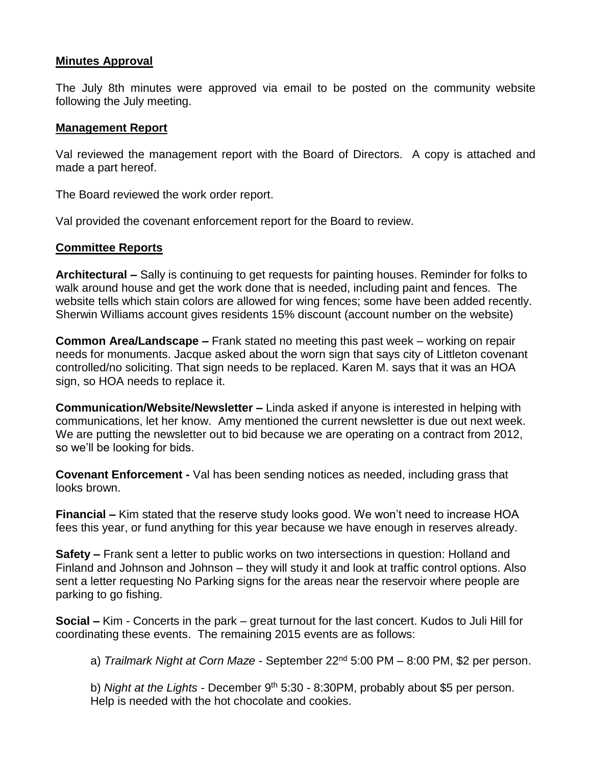#### **Minutes Approval**

The July 8th minutes were approved via email to be posted on the community website following the July meeting.

#### **Management Report**

Val reviewed the management report with the Board of Directors. A copy is attached and made a part hereof.

The Board reviewed the work order report.

Val provided the covenant enforcement report for the Board to review.

#### **Committee Reports**

**Architectural –** Sally is continuing to get requests for painting houses. Reminder for folks to walk around house and get the work done that is needed, including paint and fences. The website tells which stain colors are allowed for wing fences; some have been added recently. Sherwin Williams account gives residents 15% discount (account number on the website)

**Common Area/Landscape –** Frank stated no meeting this past week – working on repair needs for monuments. Jacque asked about the worn sign that says city of Littleton covenant controlled/no soliciting. That sign needs to be replaced. Karen M. says that it was an HOA sign, so HOA needs to replace it.

**Communication/Website/Newsletter –** Linda asked if anyone is interested in helping with communications, let her know.Amy mentioned the current newsletter is due out next week. We are putting the newsletter out to bid because we are operating on a contract from 2012, so we'll be looking for bids.

**Covenant Enforcement -** Val has been sending notices as needed, including grass that looks brown.

**Financial –** Kim stated that the reserve study looks good. We won't need to increase HOA fees this year, or fund anything for this year because we have enough in reserves already.

**Safety –** Frank sent a letter to public works on two intersections in question: Holland and Finland and Johnson and Johnson – they will study it and look at traffic control options. Also sent a letter requesting No Parking signs for the areas near the reservoir where people are parking to go fishing.

**Social –** Kim - Concerts in the park – great turnout for the last concert. Kudos to Juli Hill for coordinating these events. The remaining 2015 events are as follows:

a) *Trailmark Night at Corn Maze* - September 22nd 5:00 PM – 8:00 PM, \$2 per person.

b) *Night at the Lights* - December 9<sup>th</sup> 5:30 - 8:30PM, probably about \$5 per person. Help is needed with the hot chocolate and cookies.